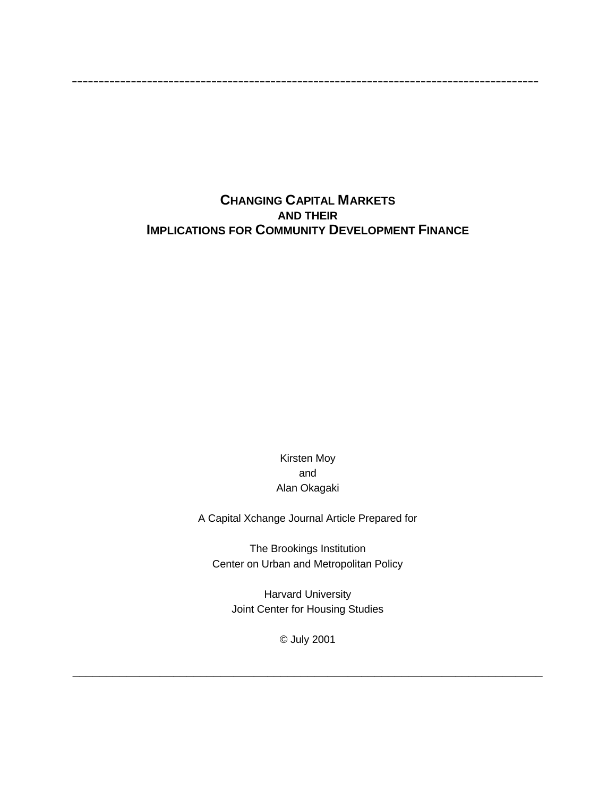# **CHANGING CAPITAL MARKETS AND THEIR IMPLICATIONS FOR COMMUNITY DEVELOPMENT FINANCE**

**\_\_\_\_\_\_\_\_\_\_\_\_\_\_\_\_\_\_\_\_\_\_\_\_\_\_\_\_\_\_\_\_\_\_\_\_\_\_\_\_\_\_\_\_\_\_\_\_\_\_\_\_\_\_\_\_\_\_\_\_\_\_\_\_\_\_\_\_\_\_\_\_\_\_\_\_\_\_\_\_\_\_\_\_\_\_\_**

Kirsten Moy and Alan Okagaki

A Capital Xchange Journal Article Prepared for

The Brookings Institution Center on Urban and Metropolitan Policy

Harvard University Joint Center for Housing Studies

© July 2001

**\_\_\_\_\_\_\_\_\_\_\_\_\_\_\_\_\_\_\_\_\_\_\_\_\_\_\_\_\_\_\_\_\_\_\_\_\_\_\_\_\_\_\_\_\_\_\_\_\_\_\_\_\_\_\_\_\_\_\_\_\_\_\_\_\_\_\_\_\_\_**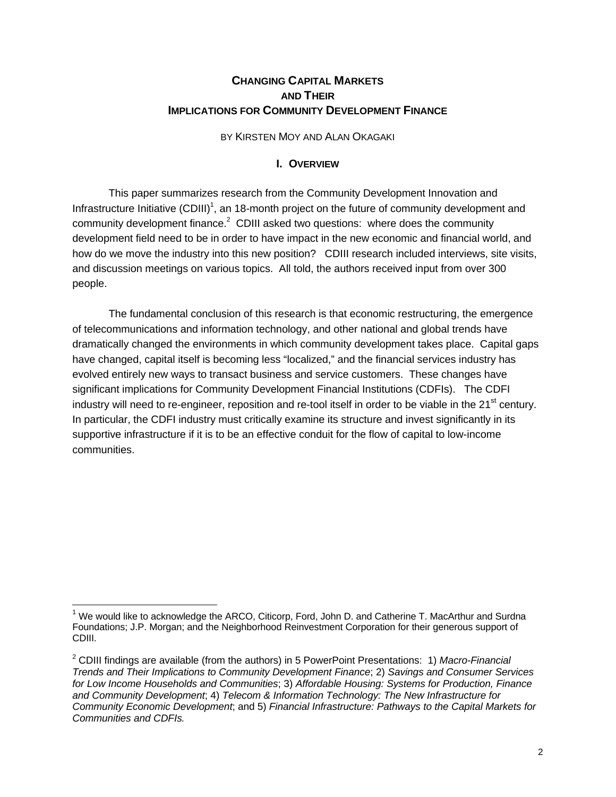# **CHANGING CAPITAL MARKETS AND THEIR IMPLICATIONS FOR COMMUNITY DEVELOPMENT FINANCE**

#### BY KIRSTEN MOY AND ALAN OKAGAKI

#### **I. OVERVIEW**

This paper summarizes research from the Community Development Innovation and Infrastructure Initiative (CDIII)<sup>1</sup>, an 18-month project on the future of community development and community development finance. $^2$  CDIII asked two questions: where does the community development field need to be in order to have impact in the new economic and financial world, and how do we move the industry into this new position? CDIII research included interviews, site visits, and discussion meetings on various topics. All told, the authors received input from over 300 people.

The fundamental conclusion of this research is that economic restructuring, the emergence of telecommunications and information technology, and other national and global trends have dramatically changed the environments in which community development takes place. Capital gaps have changed, capital itself is becoming less "localized," and the financial services industry has evolved entirely new ways to transact business and service customers. These changes have significant implications for Community Development Financial Institutions (CDFIs). The CDFI industry will need to re-engineer, reposition and re-tool itself in order to be viable in the  $21<sup>st</sup>$  century. In particular, the CDFI industry must critically examine its structure and invest significantly in its supportive infrastructure if it is to be an effective conduit for the flow of capital to low-income communities.

 $1$  We would like to acknowledge the ARCO, Citicorp, Ford, John D. and Catherine T. MacArthur and Surdna Foundations; J.P. Morgan; and the Neighborhood Reinvestment Corporation for their generous support of CDIII.

<sup>2</sup> CDIII findings are available (from the authors) in 5 PowerPoint Presentations: 1) *Macro-Financial Trends and Their Implications to Community Development Finance*; 2) *Savings and Consumer Services for Low Income Households and Communities*; 3) *Affordable Housing: Systems for Production, Finance and Community Development*; 4) *Telecom & Information Technology: The New Infrastructure for Community Economic Development*; and 5) *Financial Infrastructure: Pathways to the Capital Markets for Communities and CDFIs.*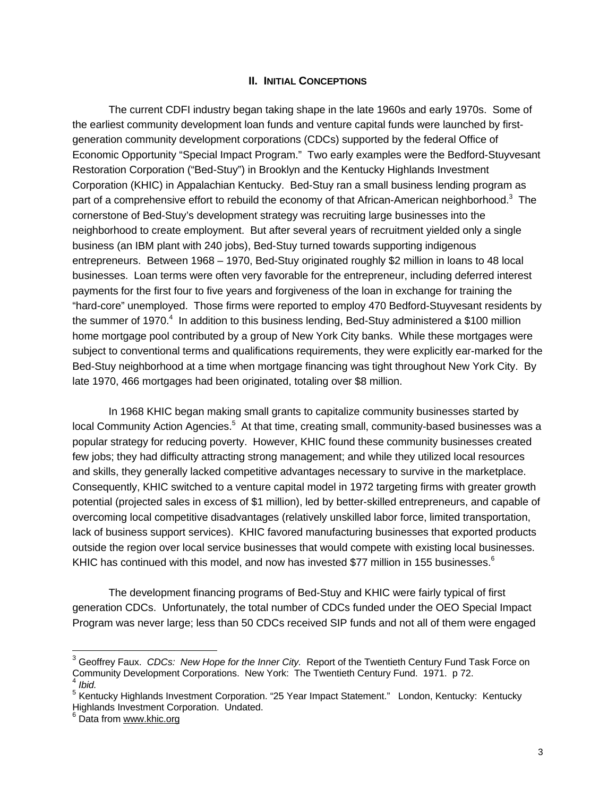### **II. INITIAL CONCEPTIONS**

The current CDFI industry began taking shape in the late 1960s and early 1970s. Some of the earliest community development loan funds and venture capital funds were launched by firstgeneration community development corporations (CDCs) supported by the federal Office of Economic Opportunity "Special Impact Program." Two early examples were the Bedford-Stuyvesant Restoration Corporation ("Bed-Stuy") in Brooklyn and the Kentucky Highlands Investment Corporation (KHIC) in Appalachian Kentucky. Bed-Stuy ran a small business lending program as part of a comprehensive effort to rebuild the economy of that African-American neighborhood.<sup>3</sup> The cornerstone of Bed-Stuy's development strategy was recruiting large businesses into the neighborhood to create employment. But after several years of recruitment yielded only a single business (an IBM plant with 240 jobs), Bed-Stuy turned towards supporting indigenous entrepreneurs. Between 1968 – 1970, Bed-Stuy originated roughly \$2 million in loans to 48 local businesses. Loan terms were often very favorable for the entrepreneur, including deferred interest payments for the first four to five years and forgiveness of the loan in exchange for training the "hard-core" unemployed. Those firms were reported to employ 470 Bedford-Stuyvesant residents by the summer of 1970.<sup>4</sup> In addition to this business lending, Bed-Stuy administered a \$100 million home mortgage pool contributed by a group of New York City banks. While these mortgages were subject to conventional terms and qualifications requirements, they were explicitly ear-marked for the Bed-Stuy neighborhood at a time when mortgage financing was tight throughout New York City. By late 1970, 466 mortgages had been originated, totaling over \$8 million.

In 1968 KHIC began making small grants to capitalize community businesses started by local Community Action Agencies.<sup>5</sup> At that time, creating small, community-based businesses was a popular strategy for reducing poverty. However, KHIC found these community businesses created few jobs; they had difficulty attracting strong management; and while they utilized local resources and skills, they generally lacked competitive advantages necessary to survive in the marketplace. Consequently, KHIC switched to a venture capital model in 1972 targeting firms with greater growth potential (projected sales in excess of \$1 million), led by better-skilled entrepreneurs, and capable of overcoming local competitive disadvantages (relatively unskilled labor force, limited transportation, lack of business support services). KHIC favored manufacturing businesses that exported products outside the region over local service businesses that would compete with existing local businesses. KHIC has continued with this model, and now has invested \$77 million in 155 businesses. $6$ 

The development financing programs of Bed-Stuy and KHIC were fairly typical of first generation CDCs. Unfortunately, the total number of CDCs funded under the OEO Special Impact Program was never large; less than 50 CDCs received SIP funds and not all of them were engaged

<sup>&</sup>lt;sup>3</sup> Geoffrey Faux. *CDCs: New Hope for the Inner City.* Report of the Twentieth Century Fund Task Force on Community Development Corporations. New York: The Twentieth Century Fund. 1971. p 72. 4 *Ibid.*

<sup>&</sup>lt;sup>5</sup> Kentucky Highlands Investment Corporation. "25 Year Impact Statement." London, Kentucky: Kentucky Highlands Investment Corporation. Undated.

<sup>&</sup>lt;sup>6</sup> Data from www.khic.org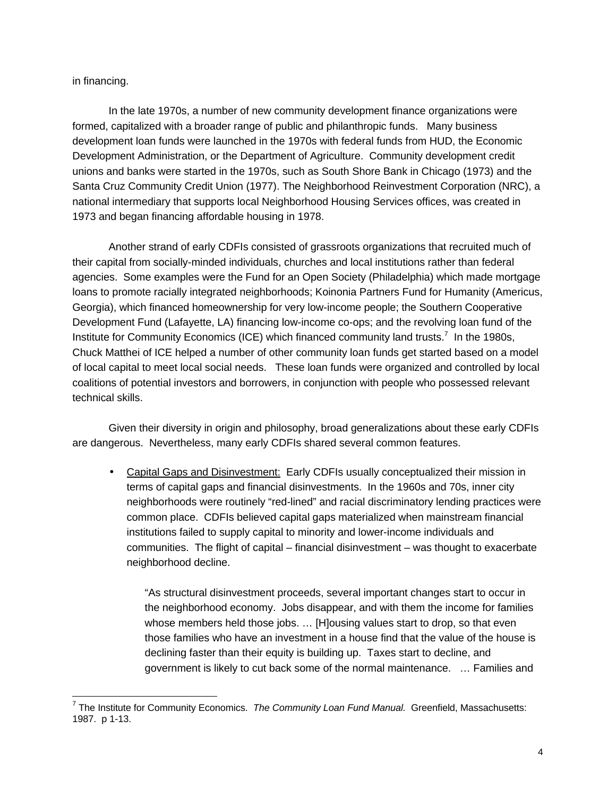in financing.

In the late 1970s, a number of new community development finance organizations were formed, capitalized with a broader range of public and philanthropic funds. Many business development loan funds were launched in the 1970s with federal funds from HUD, the Economic Development Administration, or the Department of Agriculture. Community development credit unions and banks were started in the 1970s, such as South Shore Bank in Chicago (1973) and the Santa Cruz Community Credit Union (1977). The Neighborhood Reinvestment Corporation (NRC), a national intermediary that supports local Neighborhood Housing Services offices, was created in 1973 and began financing affordable housing in 1978.

Another strand of early CDFIs consisted of grassroots organizations that recruited much of their capital from socially-minded individuals, churches and local institutions rather than federal agencies. Some examples were the Fund for an Open Society (Philadelphia) which made mortgage loans to promote racially integrated neighborhoods; Koinonia Partners Fund for Humanity (Americus, Georgia), which financed homeownership for very low-income people; the Southern Cooperative Development Fund (Lafayette, LA) financing low-income co-ops; and the revolving loan fund of the Institute for Community Economics (ICE) which financed community land trusts.<sup>7</sup> In the 1980s, Chuck Matthei of ICE helped a number of other community loan funds get started based on a model of local capital to meet local social needs. These loan funds were organized and controlled by local coalitions of potential investors and borrowers, in conjunction with people who possessed relevant technical skills.

Given their diversity in origin and philosophy, broad generalizations about these early CDFIs are dangerous. Nevertheless, many early CDFIs shared several common features.

• Capital Gaps and Disinvestment: Early CDFIs usually conceptualized their mission in terms of capital gaps and financial disinvestments. In the 1960s and 70s, inner city neighborhoods were routinely "red-lined" and racial discriminatory lending practices were common place. CDFIs believed capital gaps materialized when mainstream financial institutions failed to supply capital to minority and lower-income individuals and communities. The flight of capital – financial disinvestment – was thought to exacerbate neighborhood decline.

"As structural disinvestment proceeds, several important changes start to occur in the neighborhood economy. Jobs disappear, and with them the income for families whose members held those jobs. … [H]ousing values start to drop, so that even those families who have an investment in a house find that the value of the house is declining faster than their equity is building up. Taxes start to decline, and government is likely to cut back some of the normal maintenance. … Families and

 7 The Institute for Community Economics. *The Community Loan Fund Manual.* Greenfield, Massachusetts: 1987. p 1-13.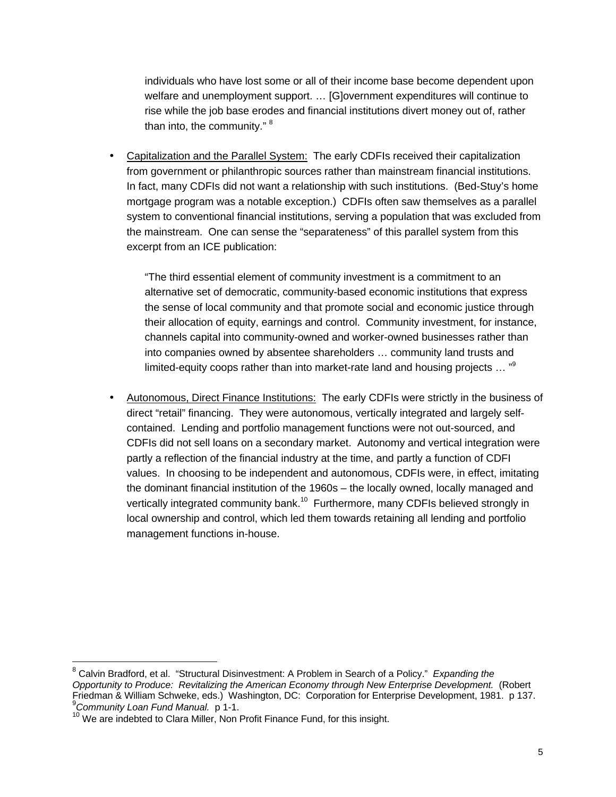individuals who have lost some or all of their income base become dependent upon welfare and unemployment support. … [G]overnment expenditures will continue to rise while the job base erodes and financial institutions divert money out of, rather than into, the community."<sup>8</sup>

• Capitalization and the Parallel System: The early CDFIs received their capitalization from government or philanthropic sources rather than mainstream financial institutions. In fact, many CDFIs did not want a relationship with such institutions. (Bed-Stuy's home mortgage program was a notable exception.) CDFIs often saw themselves as a parallel system to conventional financial institutions, serving a population that was excluded from the mainstream. One can sense the "separateness" of this parallel system from this excerpt from an ICE publication:

"The third essential element of community investment is a commitment to an alternative set of democratic, community-based economic institutions that express the sense of local community and that promote social and economic justice through their allocation of equity, earnings and control. Community investment, for instance, channels capital into community-owned and worker-owned businesses rather than into companies owned by absentee shareholders … community land trusts and limited-equity coops rather than into market-rate land and housing projects ... "<sup>9</sup>

• Autonomous, Direct Finance Institutions: The early CDFIs were strictly in the business of direct "retail" financing. They were autonomous, vertically integrated and largely selfcontained. Lending and portfolio management functions were not out-sourced, and CDFIs did not sell loans on a secondary market. Autonomy and vertical integration were partly a reflection of the financial industry at the time, and partly a function of CDFI values. In choosing to be independent and autonomous, CDFIs were, in effect, imitating the dominant financial institution of the 1960s – the locally owned, locally managed and vertically integrated community bank.<sup>10</sup> Furthermore, many CDFIs believed strongly in local ownership and control, which led them towards retaining all lending and portfolio management functions in-house.

<sup>8</sup> Calvin Bradford, et al. "Structural Disinvestment: A Problem in Search of a Policy." *Expanding the Opportunity to Produce: Revitalizing the American Economy through New Enterprise Development.* (Robert Friedman & William Schweke, eds.) Washington, DC: Corporation for Enterprise Development, 1981. p 137. <sup>9</sup>*Community Loan Fund Manual.* p 1-1.

<sup>&</sup>lt;sup>10</sup> We are indebted to Clara Miller, Non Profit Finance Fund, for this insight.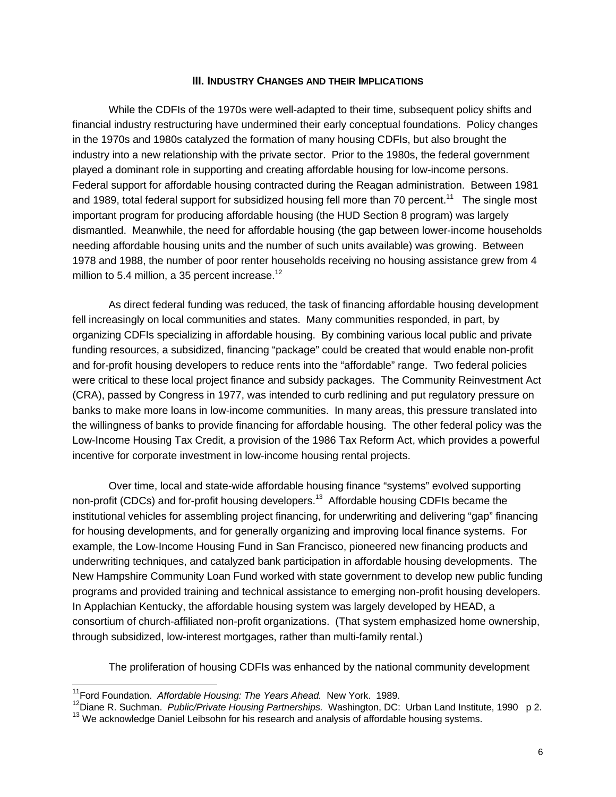#### **III. INDUSTRY CHANGES AND THEIR IMPLICATIONS**

While the CDFIs of the 1970s were well-adapted to their time, subsequent policy shifts and financial industry restructuring have undermined their early conceptual foundations. Policy changes in the 1970s and 1980s catalyzed the formation of many housing CDFIs, but also brought the industry into a new relationship with the private sector. Prior to the 1980s, the federal government played a dominant role in supporting and creating affordable housing for low-income persons. Federal support for affordable housing contracted during the Reagan administration. Between 1981 and 1989, total federal support for subsidized housing fell more than 70 percent.<sup>11</sup> The single most important program for producing affordable housing (the HUD Section 8 program) was largely dismantled. Meanwhile, the need for affordable housing (the gap between lower-income households needing affordable housing units and the number of such units available) was growing. Between 1978 and 1988, the number of poor renter households receiving no housing assistance grew from 4 million to 5.4 million, a 35 percent increase. $12$ 

As direct federal funding was reduced, the task of financing affordable housing development fell increasingly on local communities and states. Many communities responded, in part, by organizing CDFIs specializing in affordable housing. By combining various local public and private funding resources, a subsidized, financing "package" could be created that would enable non-profit and for-profit housing developers to reduce rents into the "affordable" range. Two federal policies were critical to these local project finance and subsidy packages. The Community Reinvestment Act (CRA), passed by Congress in 1977, was intended to curb redlining and put regulatory pressure on banks to make more loans in low-income communities. In many areas, this pressure translated into the willingness of banks to provide financing for affordable housing. The other federal policy was the Low-Income Housing Tax Credit, a provision of the 1986 Tax Reform Act, which provides a powerful incentive for corporate investment in low-income housing rental projects.

Over time, local and state-wide affordable housing finance "systems" evolved supporting non-profit (CDCs) and for-profit housing developers.<sup>13</sup> Affordable housing CDFIs became the institutional vehicles for assembling project financing, for underwriting and delivering "gap" financing for housing developments, and for generally organizing and improving local finance systems. For example, the Low-Income Housing Fund in San Francisco, pioneered new financing products and underwriting techniques, and catalyzed bank participation in affordable housing developments. The New Hampshire Community Loan Fund worked with state government to develop new public funding programs and provided training and technical assistance to emerging non-profit housing developers. In Applachian Kentucky, the affordable housing system was largely developed by HEAD, a consortium of church-affiliated non-profit organizations. (That system emphasized home ownership, through subsidized, low-interest mortgages, rather than multi-family rental.)

The proliferation of housing CDFIs was enhanced by the national community development

<sup>11</sup>Ford Foundation. *Affordable Housing: The Years Ahead.* New York. 1989.

<sup>&</sup>lt;sup>12</sup>Diane R. Suchman. *Public/Private Housing Partnerships.* Washington, DC: Urban Land Institute, 1990 p 2.

<sup>&</sup>lt;sup>13</sup> We acknowledge Daniel Leibsohn for his research and analysis of affordable housing systems.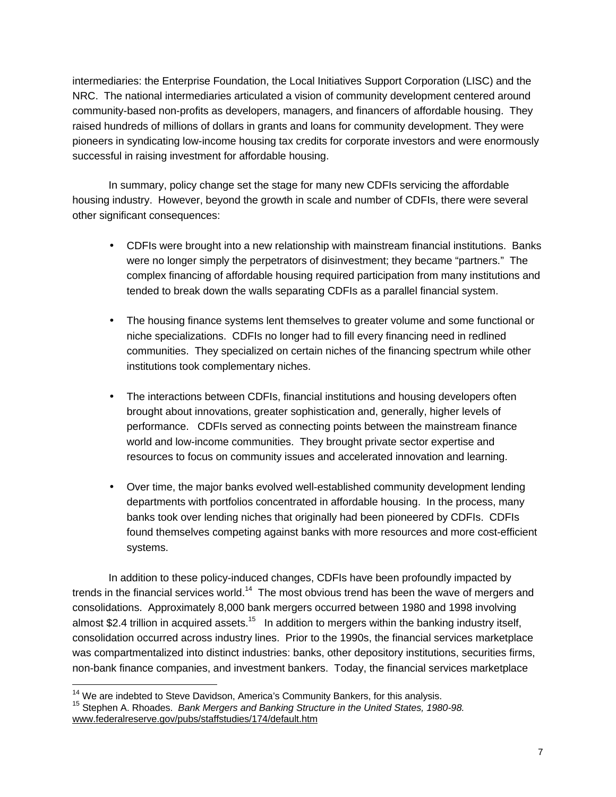intermediaries: the Enterprise Foundation, the Local Initiatives Support Corporation (LISC) and the NRC. The national intermediaries articulated a vision of community development centered around community-based non-profits as developers, managers, and financers of affordable housing. They raised hundreds of millions of dollars in grants and loans for community development. They were pioneers in syndicating low-income housing tax credits for corporate investors and were enormously successful in raising investment for affordable housing.

In summary, policy change set the stage for many new CDFIs servicing the affordable housing industry. However, beyond the growth in scale and number of CDFIs, there were several other significant consequences:

- CDFIs were brought into a new relationship with mainstream financial institutions. Banks were no longer simply the perpetrators of disinvestment; they became "partners." The complex financing of affordable housing required participation from many institutions and tended to break down the walls separating CDFIs as a parallel financial system.
- The housing finance systems lent themselves to greater volume and some functional or niche specializations. CDFIs no longer had to fill every financing need in redlined communities. They specialized on certain niches of the financing spectrum while other institutions took complementary niches.
- The interactions between CDFIs, financial institutions and housing developers often brought about innovations, greater sophistication and, generally, higher levels of performance. CDFIs served as connecting points between the mainstream finance world and low-income communities. They brought private sector expertise and resources to focus on community issues and accelerated innovation and learning.
- Over time, the major banks evolved well-established community development lending departments with portfolios concentrated in affordable housing. In the process, many banks took over lending niches that originally had been pioneered by CDFIs. CDFIs found themselves competing against banks with more resources and more cost-efficient systems.

In addition to these policy-induced changes, CDFIs have been profoundly impacted by trends in the financial services world.<sup>14</sup> The most obvious trend has been the wave of mergers and consolidations. Approximately 8,000 bank mergers occurred between 1980 and 1998 involving almost \$2.4 trillion in acquired assets.<sup>15</sup> In addition to mergers within the banking industry itself, consolidation occurred across industry lines. Prior to the 1990s, the financial services marketplace was compartmentalized into distinct industries: banks, other depository institutions, securities firms, non-bank finance companies, and investment bankers. Today, the financial services marketplace

 $\overline{a}$ 

 $14$  We are indebted to Steve Davidson, America's Community Bankers, for this analysis. <sup>15</sup> Stephen A. Rhoades. *Bank Mergers and Banking Structure in the United States, 1980-98.* www.federalreserve.gov/pubs/staffstudies/174/default.htm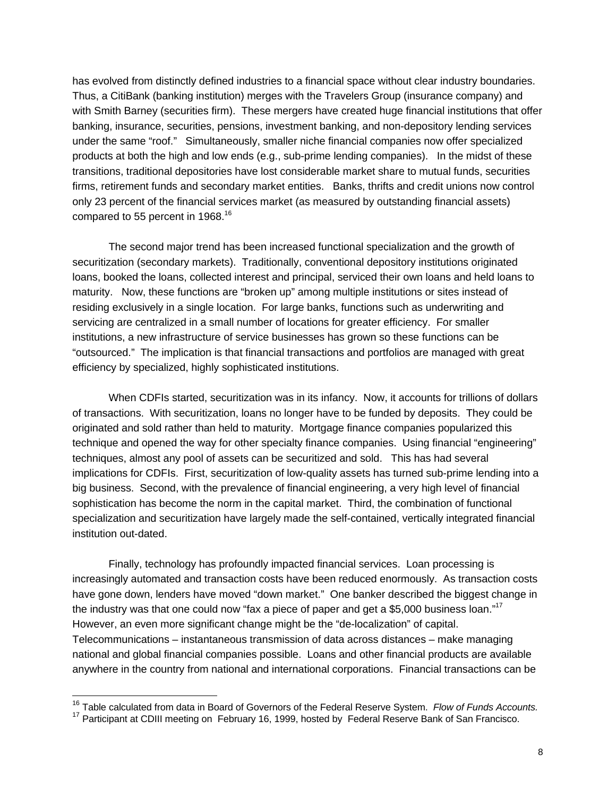has evolved from distinctly defined industries to a financial space without clear industry boundaries. Thus, a CitiBank (banking institution) merges with the Travelers Group (insurance company) and with Smith Barney (securities firm). These mergers have created huge financial institutions that offer banking, insurance, securities, pensions, investment banking, and non-depository lending services under the same "roof." Simultaneously, smaller niche financial companies now offer specialized products at both the high and low ends (e.g., sub-prime lending companies). In the midst of these transitions, traditional depositories have lost considerable market share to mutual funds, securities firms, retirement funds and secondary market entities. Banks, thrifts and credit unions now control only 23 percent of the financial services market (as measured by outstanding financial assets) compared to 55 percent in 1968.<sup>16</sup>

The second major trend has been increased functional specialization and the growth of securitization (secondary markets). Traditionally, conventional depository institutions originated loans, booked the loans, collected interest and principal, serviced their own loans and held loans to maturity. Now, these functions are "broken up" among multiple institutions or sites instead of residing exclusively in a single location. For large banks, functions such as underwriting and servicing are centralized in a small number of locations for greater efficiency. For smaller institutions, a new infrastructure of service businesses has grown so these functions can be "outsourced." The implication is that financial transactions and portfolios are managed with great efficiency by specialized, highly sophisticated institutions.

When CDFIs started, securitization was in its infancy. Now, it accounts for trillions of dollars of transactions. With securitization, loans no longer have to be funded by deposits. They could be originated and sold rather than held to maturity. Mortgage finance companies popularized this technique and opened the way for other specialty finance companies. Using financial "engineering" techniques, almost any pool of assets can be securitized and sold. This has had several implications for CDFIs. First, securitization of low-quality assets has turned sub-prime lending into a big business. Second, with the prevalence of financial engineering, a very high level of financial sophistication has become the norm in the capital market. Third, the combination of functional specialization and securitization have largely made the self-contained, vertically integrated financial institution out-dated.

Finally, technology has profoundly impacted financial services. Loan processing is increasingly automated and transaction costs have been reduced enormously. As transaction costs have gone down, lenders have moved "down market." One banker described the biggest change in the industry was that one could now "fax a piece of paper and get a \$5,000 business loan."<sup>17</sup> However, an even more significant change might be the "de-localization" of capital. Telecommunications – instantaneous transmission of data across distances – make managing national and global financial companies possible. Loans and other financial products are available anywhere in the country from national and international corporations. Financial transactions can be

<sup>16</sup> Table calculated from data in Board of Governors of the Federal Reserve System. *Flow of Funds Accounts.*

<sup>&</sup>lt;sup>17</sup> Participant at CDIII meeting on February 16, 1999, hosted by Federal Reserve Bank of San Francisco.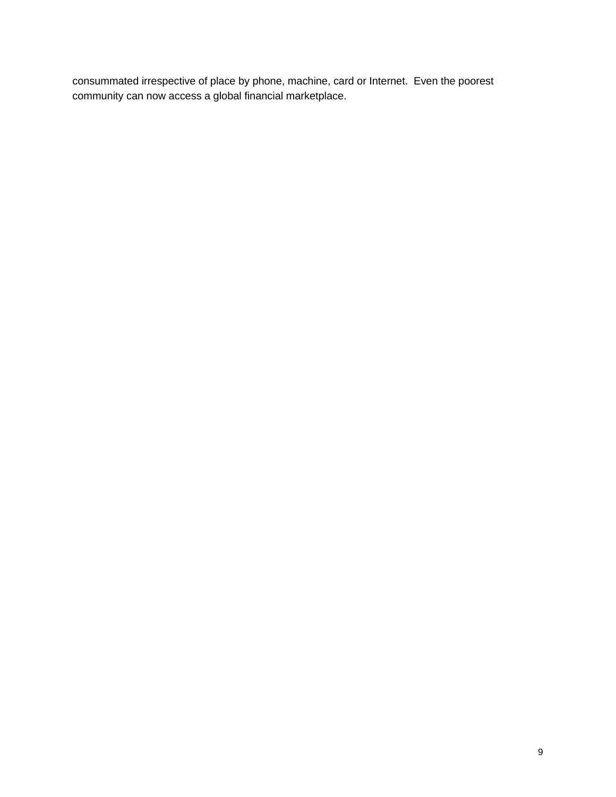consummated irrespective of place by phone, machine, card or Internet. Even the poorest community can now access a global financial marketplace.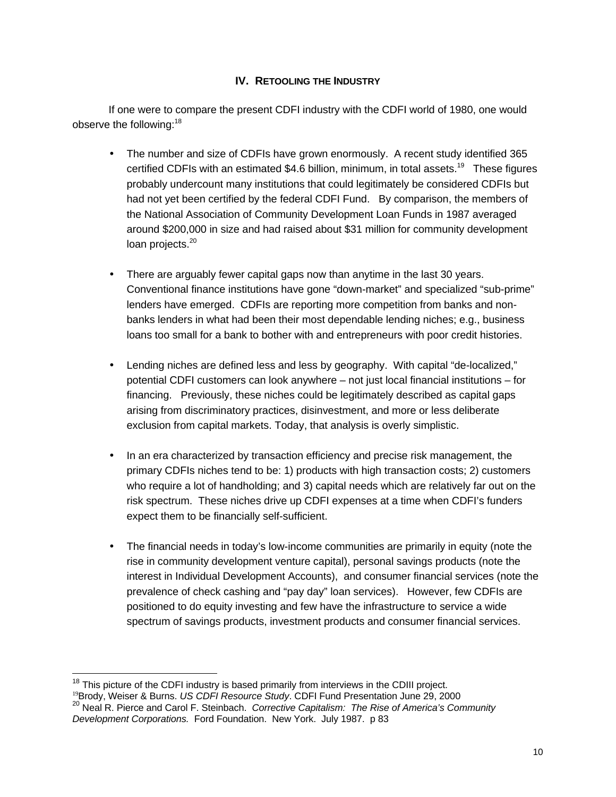# **IV. RETOOLING THE INDUSTRY**

If one were to compare the present CDFI industry with the CDFI world of 1980, one would observe the following:<sup>18</sup>

- The number and size of CDFIs have grown enormously. A recent study identified 365 certified CDFIs with an estimated \$4.6 billion, minimum, in total assets.<sup>19</sup> These figures probably undercount many institutions that could legitimately be considered CDFIs but had not yet been certified by the federal CDFI Fund. By comparison, the members of the National Association of Community Development Loan Funds in 1987 averaged around \$200,000 in size and had raised about \$31 million for community development loan projects.<sup>20</sup>
- There are arguably fewer capital gaps now than anytime in the last 30 years. Conventional finance institutions have gone "down-market" and specialized "sub-prime" lenders have emerged. CDFIs are reporting more competition from banks and nonbanks lenders in what had been their most dependable lending niches; e.g., business loans too small for a bank to bother with and entrepreneurs with poor credit histories.
- Lending niches are defined less and less by geography. With capital "de-localized," potential CDFI customers can look anywhere – not just local financial institutions – for financing. Previously, these niches could be legitimately described as capital gaps arising from discriminatory practices, disinvestment, and more or less deliberate exclusion from capital markets. Today, that analysis is overly simplistic.
- In an era characterized by transaction efficiency and precise risk management, the primary CDFIs niches tend to be: 1) products with high transaction costs; 2) customers who require a lot of handholding; and 3) capital needs which are relatively far out on the risk spectrum. These niches drive up CDFI expenses at a time when CDFI's funders expect them to be financially self-sufficient.
- The financial needs in today's low-income communities are primarily in equity (note the rise in community development venture capital), personal savings products (note the interest in Individual Development Accounts), and consumer financial services (note the prevalence of check cashing and "pay day" loan services). However, few CDFIs are positioned to do equity investing and few have the infrastructure to service a wide spectrum of savings products, investment products and consumer financial services.

 $\overline{\phantom{a}}$  $18$  This picture of the CDFI industry is based primarily from interviews in the CDIII project.

<sup>19</sup>Brody, Weiser & Burns. *US CDFI Resource Study*. CDFI Fund Presentation June 29, 2000 <sup>20</sup> Neal R. Pierce and Carol F. Steinbach. *Corrective Capitalism: The Rise of America's Community*

*Development Corporations.* Ford Foundation. New York. July 1987. p 83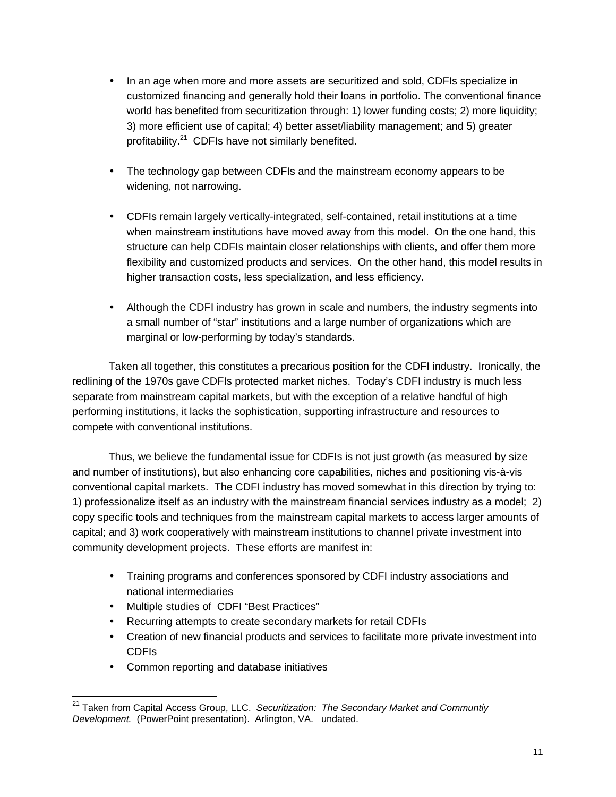- In an age when more and more assets are securitized and sold, CDFIs specialize in customized financing and generally hold their loans in portfolio. The conventional finance world has benefited from securitization through: 1) lower funding costs; 2) more liquidity; 3) more efficient use of capital; 4) better asset/liability management; and 5) greater profitability.<sup>21</sup> CDFIs have not similarly benefited.
- The technology gap between CDFIs and the mainstream economy appears to be widening, not narrowing.
- CDFIs remain largely vertically-integrated, self-contained, retail institutions at a time when mainstream institutions have moved away from this model. On the one hand, this structure can help CDFIs maintain closer relationships with clients, and offer them more flexibility and customized products and services. On the other hand, this model results in higher transaction costs, less specialization, and less efficiency.
- Although the CDFI industry has grown in scale and numbers, the industry segments into a small number of "star" institutions and a large number of organizations which are marginal or low-performing by today's standards.

Taken all together, this constitutes a precarious position for the CDFI industry. Ironically, the redlining of the 1970s gave CDFIs protected market niches. Today's CDFI industry is much less separate from mainstream capital markets, but with the exception of a relative handful of high performing institutions, it lacks the sophistication, supporting infrastructure and resources to compete with conventional institutions.

Thus, we believe the fundamental issue for CDFIs is not just growth (as measured by size and number of institutions), but also enhancing core capabilities, niches and positioning vis-à-vis conventional capital markets. The CDFI industry has moved somewhat in this direction by trying to: 1) professionalize itself as an industry with the mainstream financial services industry as a model; 2) copy specific tools and techniques from the mainstream capital markets to access larger amounts of capital; and 3) work cooperatively with mainstream institutions to channel private investment into community development projects. These efforts are manifest in:

- Training programs and conferences sponsored by CDFI industry associations and national intermediaries
- Multiple studies of CDFI "Best Practices"
- Recurring attempts to create secondary markets for retail CDFIs
- Creation of new financial products and services to facilitate more private investment into CDFIs
- Common reporting and database initiatives

 $\overline{\phantom{a}}$ <sup>21</sup> Taken from Capital Access Group, LLC. *Securitization: The Secondary Market and Communtiy Development.* (PowerPoint presentation). Arlington, VA. undated.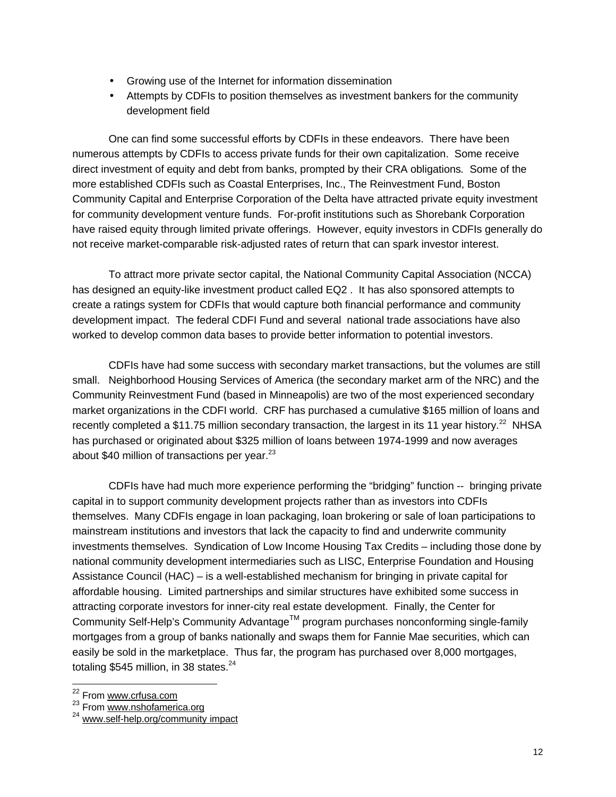- Growing use of the Internet for information dissemination
- Attempts by CDFIs to position themselves as investment bankers for the community development field

One can find some successful efforts by CDFIs in these endeavors. There have been numerous attempts by CDFIs to access private funds for their own capitalization. Some receive direct investment of equity and debt from banks, prompted by their CRA obligations*.* Some of the more established CDFIs such as Coastal Enterprises, Inc., The Reinvestment Fund, Boston Community Capital and Enterprise Corporation of the Delta have attracted private equity investment for community development venture funds. For-profit institutions such as Shorebank Corporation have raised equity through limited private offerings. However, equity investors in CDFIs generally do not receive market-comparable risk-adjusted rates of return that can spark investor interest.

To attract more private sector capital, the National Community Capital Association (NCCA) has designed an equity-like investment product called EQ2 . It has also sponsored attempts to create a ratings system for CDFIs that would capture both financial performance and community development impact. The federal CDFI Fund and several national trade associations have also worked to develop common data bases to provide better information to potential investors.

CDFIs have had some success with secondary market transactions, but the volumes are still small. Neighborhood Housing Services of America (the secondary market arm of the NRC) and the Community Reinvestment Fund (based in Minneapolis) are two of the most experienced secondary market organizations in the CDFI world. CRF has purchased a cumulative \$165 million of loans and recently completed a \$11.75 million secondary transaction, the largest in its 11 year history.<sup>22</sup> NHSA has purchased or originated about \$325 million of loans between 1974-1999 and now averages about \$40 million of transactions per year. $^{23}$ 

CDFIs have had much more experience performing the "bridging" function -- bringing private capital in to support community development projects rather than as investors into CDFIs themselves. Many CDFIs engage in loan packaging, loan brokering or sale of loan participations to mainstream institutions and investors that lack the capacity to find and underwrite community investments themselves. Syndication of Low Income Housing Tax Credits – including those done by national community development intermediaries such as LISC, Enterprise Foundation and Housing Assistance Council (HAC) – is a well-established mechanism for bringing in private capital for affordable housing. Limited partnerships and similar structures have exhibited some success in attracting corporate investors for inner-city real estate development. Finally, the Center for Community Self-Help's Community Advantage™ program purchases nonconforming single-family mortgages from a group of banks nationally and swaps them for Fannie Mae securities, which can easily be sold in the marketplace. Thus far, the program has purchased over 8,000 mortgages, totaling \$545 million, in 38 states. $24$ 

 $\overline{\phantom{a}}$ <sup>22</sup> From www.crfusa.com

<sup>&</sup>lt;sup>23</sup> From www.nshofamerica.org

<sup>&</sup>lt;sup>24</sup> www.self-help.org/community impact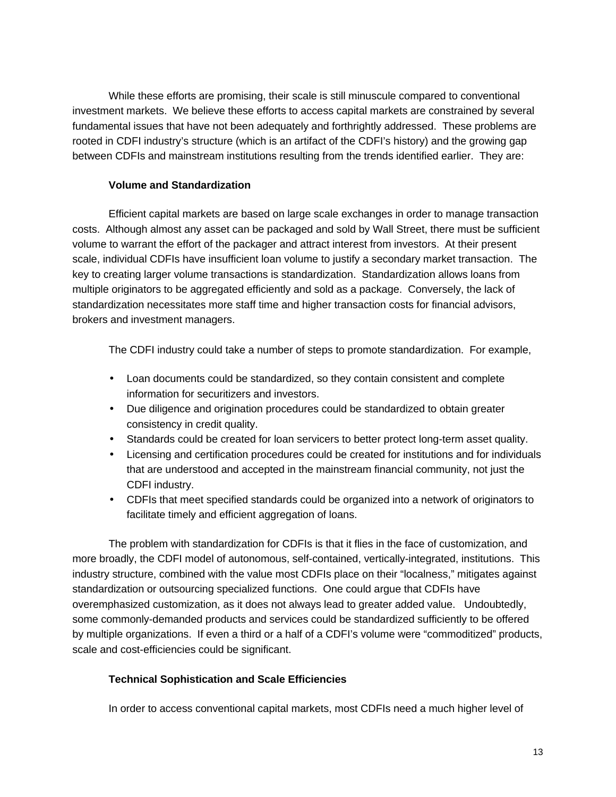While these efforts are promising, their scale is still minuscule compared to conventional investment markets. We believe these efforts to access capital markets are constrained by several fundamental issues that have not been adequately and forthrightly addressed. These problems are rooted in CDFI industry's structure (which is an artifact of the CDFI's history) and the growing gap between CDFIs and mainstream institutions resulting from the trends identified earlier. They are:

# **Volume and Standardization**

Efficient capital markets are based on large scale exchanges in order to manage transaction costs. Although almost any asset can be packaged and sold by Wall Street, there must be sufficient volume to warrant the effort of the packager and attract interest from investors. At their present scale, individual CDFIs have insufficient loan volume to justify a secondary market transaction. The key to creating larger volume transactions is standardization. Standardization allows loans from multiple originators to be aggregated efficiently and sold as a package. Conversely, the lack of standardization necessitates more staff time and higher transaction costs for financial advisors, brokers and investment managers.

The CDFI industry could take a number of steps to promote standardization. For example,

- Loan documents could be standardized, so they contain consistent and complete information for securitizers and investors.
- Due diligence and origination procedures could be standardized to obtain greater consistency in credit quality.
- Standards could be created for loan servicers to better protect long-term asset quality.
- Licensing and certification procedures could be created for institutions and for individuals that are understood and accepted in the mainstream financial community, not just the CDFI industry.
- CDFIs that meet specified standards could be organized into a network of originators to facilitate timely and efficient aggregation of loans.

The problem with standardization for CDFIs is that it flies in the face of customization, and more broadly, the CDFI model of autonomous, self-contained, vertically-integrated, institutions. This industry structure, combined with the value most CDFIs place on their "localness," mitigates against standardization or outsourcing specialized functions. One could argue that CDFIs have overemphasized customization, as it does not always lead to greater added value. Undoubtedly, some commonly-demanded products and services could be standardized sufficiently to be offered by multiple organizations. If even a third or a half of a CDFI's volume were "commoditized" products, scale and cost-efficiencies could be significant.

# **Technical Sophistication and Scale Efficiencies**

In order to access conventional capital markets, most CDFIs need a much higher level of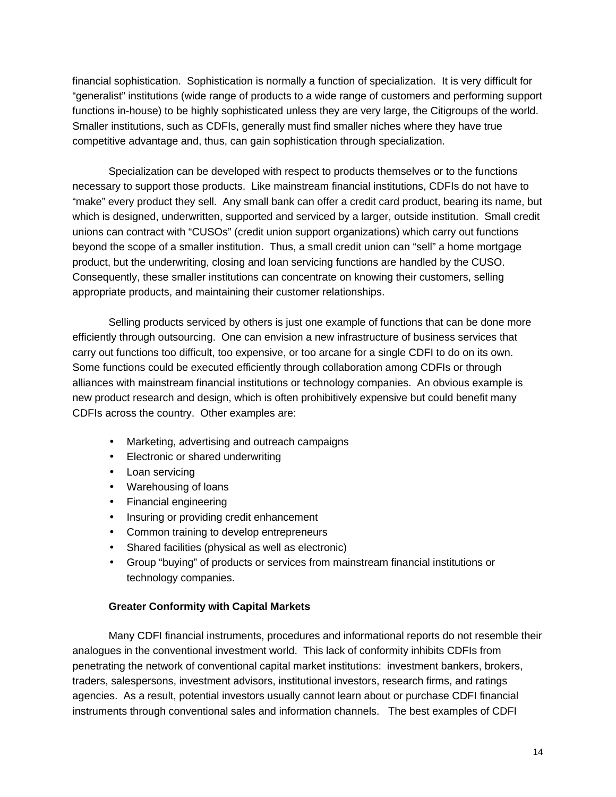financial sophistication. Sophistication is normally a function of specialization. It is very difficult for "generalist" institutions (wide range of products to a wide range of customers and performing support functions in-house) to be highly sophisticated unless they are very large, the Citigroups of the world. Smaller institutions, such as CDFIs, generally must find smaller niches where they have true competitive advantage and, thus, can gain sophistication through specialization.

Specialization can be developed with respect to products themselves or to the functions necessary to support those products. Like mainstream financial institutions, CDFIs do not have to "make" every product they sell. Any small bank can offer a credit card product, bearing its name, but which is designed, underwritten, supported and serviced by a larger, outside institution. Small credit unions can contract with "CUSOs" (credit union support organizations) which carry out functions beyond the scope of a smaller institution. Thus, a small credit union can "sell" a home mortgage product, but the underwriting, closing and loan servicing functions are handled by the CUSO. Consequently, these smaller institutions can concentrate on knowing their customers, selling appropriate products, and maintaining their customer relationships.

Selling products serviced by others is just one example of functions that can be done more efficiently through outsourcing. One can envision a new infrastructure of business services that carry out functions too difficult, too expensive, or too arcane for a single CDFI to do on its own. Some functions could be executed efficiently through collaboration among CDFIs or through alliances with mainstream financial institutions or technology companies. An obvious example is new product research and design, which is often prohibitively expensive but could benefit many CDFIs across the country. Other examples are:

- Marketing, advertising and outreach campaigns
- Electronic or shared underwriting
- Loan servicing
- Warehousing of loans
- Financial engineering
- Insuring or providing credit enhancement
- Common training to develop entrepreneurs
- Shared facilities (physical as well as electronic)
- Group "buying" of products or services from mainstream financial institutions or technology companies.

### **Greater Conformity with Capital Markets**

Many CDFI financial instruments, procedures and informational reports do not resemble their analogues in the conventional investment world. This lack of conformity inhibits CDFIs from penetrating the network of conventional capital market institutions: investment bankers, brokers, traders, salespersons, investment advisors, institutional investors, research firms, and ratings agencies. As a result, potential investors usually cannot learn about or purchase CDFI financial instruments through conventional sales and information channels. The best examples of CDFI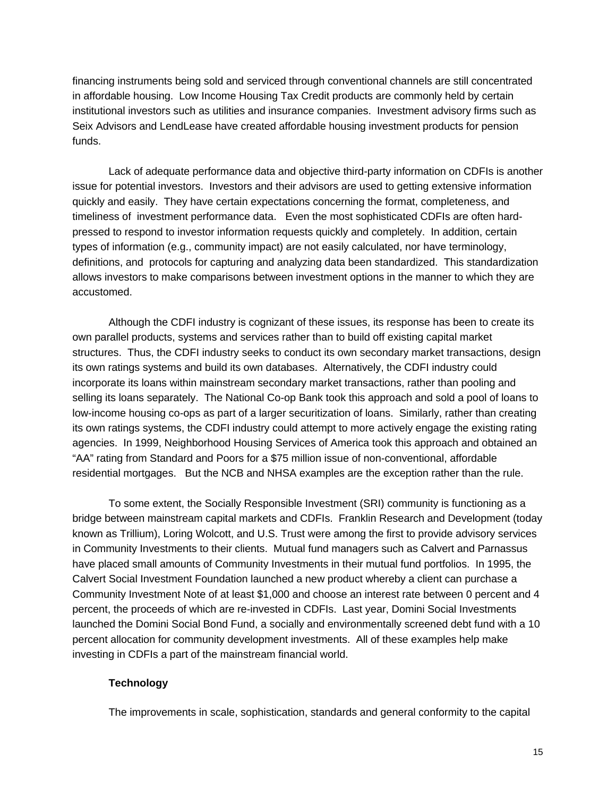financing instruments being sold and serviced through conventional channels are still concentrated in affordable housing. Low Income Housing Tax Credit products are commonly held by certain institutional investors such as utilities and insurance companies. Investment advisory firms such as Seix Advisors and LendLease have created affordable housing investment products for pension funds.

Lack of adequate performance data and objective third-party information on CDFIs is another issue for potential investors. Investors and their advisors are used to getting extensive information quickly and easily. They have certain expectations concerning the format, completeness, and timeliness of investment performance data. Even the most sophisticated CDFIs are often hardpressed to respond to investor information requests quickly and completely. In addition, certain types of information (e.g., community impact) are not easily calculated, nor have terminology, definitions, and protocols for capturing and analyzing data been standardized. This standardization allows investors to make comparisons between investment options in the manner to which they are accustomed.

Although the CDFI industry is cognizant of these issues, its response has been to create its own parallel products, systems and services rather than to build off existing capital market structures. Thus, the CDFI industry seeks to conduct its own secondary market transactions, design its own ratings systems and build its own databases. Alternatively, the CDFI industry could incorporate its loans within mainstream secondary market transactions, rather than pooling and selling its loans separately. The National Co-op Bank took this approach and sold a pool of loans to low-income housing co-ops as part of a larger securitization of loans. Similarly, rather than creating its own ratings systems, the CDFI industry could attempt to more actively engage the existing rating agencies.In 1999, Neighborhood Housing Services of America took this approach and obtained an "AA" rating from Standard and Poors for a \$75 million issue of non-conventional, affordable residential mortgages. But the NCB and NHSA examples are the exception rather than the rule.

To some extent, the Socially Responsible Investment (SRI) community is functioning as a bridge between mainstream capital markets and CDFIs. Franklin Research and Development (today known as Trillium), Loring Wolcott, and U.S. Trust were among the first to provide advisory services in Community Investments to their clients. Mutual fund managers such as Calvert and Parnassus have placed small amounts of Community Investments in their mutual fund portfolios. In 1995, the Calvert Social Investment Foundation launched a new product whereby a client can purchase a Community Investment Note of at least \$1,000 and choose an interest rate between 0 percent and 4 percent, the proceeds of which are re-invested in CDFIs. Last year, Domini Social Investments launched the Domini Social Bond Fund, a socially and environmentally screened debt fund with a 10 percent allocation for community development investments. All of these examples help make investing in CDFIs a part of the mainstream financial world.

### **Technology**

The improvements in scale, sophistication, standards and general conformity to the capital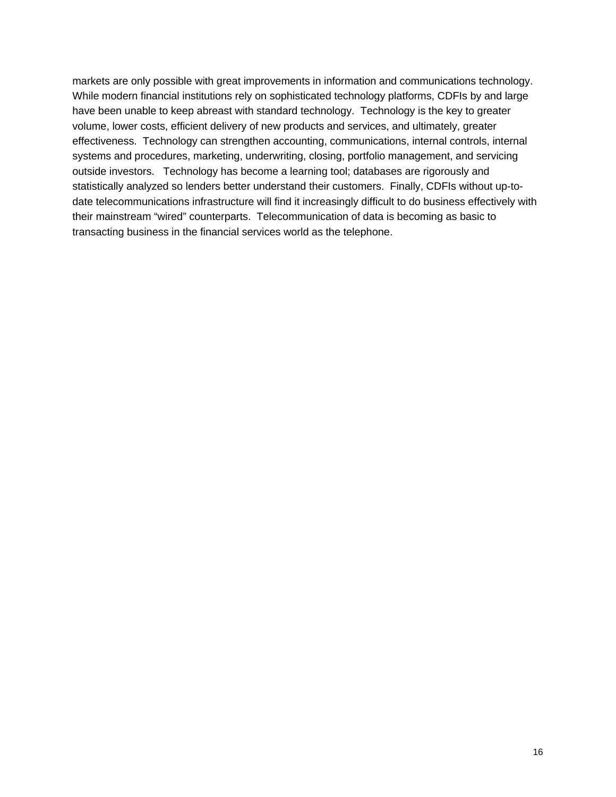markets are only possible with great improvements in information and communications technology. While modern financial institutions rely on sophisticated technology platforms, CDFIs by and large have been unable to keep abreast with standard technology. Technology is the key to greater volume, lower costs, efficient delivery of new products and services, and ultimately, greater effectiveness. Technology can strengthen accounting, communications, internal controls, internal systems and procedures, marketing, underwriting, closing, portfolio management, and servicing outside investors. Technology has become a learning tool; databases are rigorously and statistically analyzed so lenders better understand their customers. Finally, CDFIs without up-todate telecommunications infrastructure will find it increasingly difficult to do business effectively with their mainstream "wired" counterparts. Telecommunication of data is becoming as basic to transacting business in the financial services world as the telephone.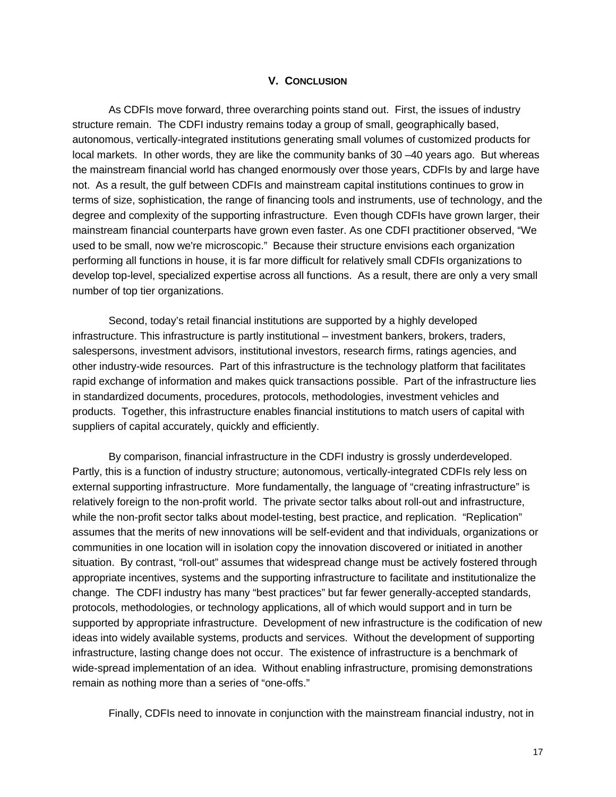#### **V. CONCLUSION**

As CDFIs move forward, three overarching points stand out. First, the issues of industry structure remain. The CDFI industry remains today a group of small, geographically based, autonomous, vertically-integrated institutions generating small volumes of customized products for local markets. In other words, they are like the community banks of 30 –40 years ago. But whereas the mainstream financial world has changed enormously over those years, CDFIs by and large have not. As a result, the gulf between CDFIs and mainstream capital institutions continues to grow in terms of size, sophistication, the range of financing tools and instruments, use of technology, and the degree and complexity of the supporting infrastructure. Even though CDFIs have grown larger, their mainstream financial counterparts have grown even faster. As one CDFI practitioner observed, "We used to be small, now we're microscopic." Because their structure envisions each organization performing all functions in house, it is far more difficult for relatively small CDFIs organizations to develop top-level, specialized expertise across all functions. As a result, there are only a very small number of top tier organizations.

Second, today's retail financial institutions are supported by a highly developed infrastructure. This infrastructure is partly institutional – investment bankers, brokers, traders, salespersons, investment advisors, institutional investors, research firms, ratings agencies, and other industry-wide resources. Part of this infrastructure is the technology platform that facilitates rapid exchange of information and makes quick transactions possible. Part of the infrastructure lies in standardized documents, procedures, protocols, methodologies, investment vehicles and products. Together, this infrastructure enables financial institutions to match users of capital with suppliers of capital accurately, quickly and efficiently.

By comparison, financial infrastructure in the CDFI industry is grossly underdeveloped. Partly, this is a function of industry structure; autonomous, vertically-integrated CDFIs rely less on external supporting infrastructure. More fundamentally, the language of "creating infrastructure" is relatively foreign to the non-profit world. The private sector talks about roll-out and infrastructure, while the non-profit sector talks about model-testing, best practice, and replication. "Replication" assumes that the merits of new innovations will be self-evident and that individuals, organizations or communities in one location will in isolation copy the innovation discovered or initiated in another situation. By contrast, "roll-out" assumes that widespread change must be actively fostered through appropriate incentives, systems and the supporting infrastructure to facilitate and institutionalize the change. The CDFI industry has many "best practices" but far fewer generally-accepted standards, protocols, methodologies, or technology applications, all of which would support and in turn be supported by appropriate infrastructure. Development of new infrastructure is the codification of new ideas into widely available systems, products and services.Without the development of supporting infrastructure, lasting change does not occur. The existence of infrastructure is a benchmark of wide-spread implementation of an idea. Without enabling infrastructure, promising demonstrations remain as nothing more than a series of "one-offs."

Finally, CDFIs need to innovate in conjunction with the mainstream financial industry, not in